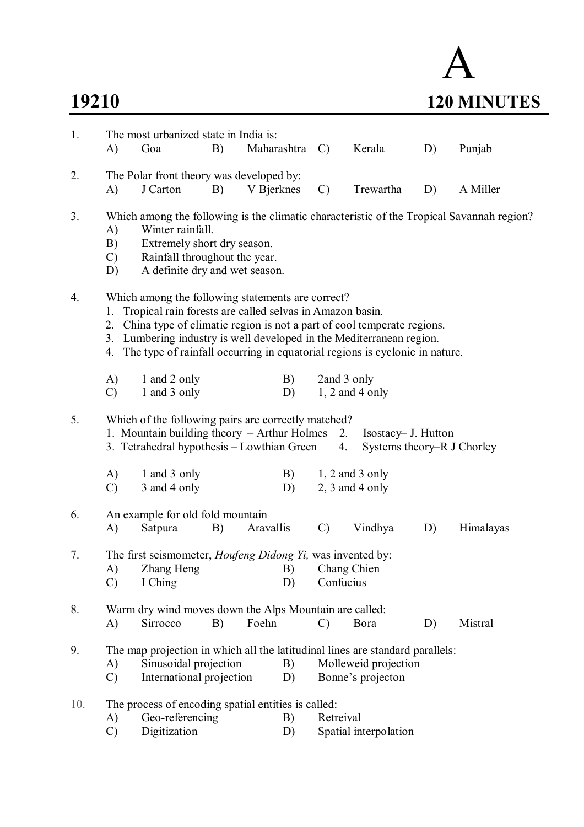## A **19210 120 MINUTES**

| 1.  |                                 | The most urbanized state in India is:                                                                                                                                                                                                                                                                                                             |    |             |          |               |                                                   |    |                                                                                           |
|-----|---------------------------------|---------------------------------------------------------------------------------------------------------------------------------------------------------------------------------------------------------------------------------------------------------------------------------------------------------------------------------------------------|----|-------------|----------|---------------|---------------------------------------------------|----|-------------------------------------------------------------------------------------------|
|     | A)                              | Goa                                                                                                                                                                                                                                                                                                                                               | B) | Maharashtra |          | $\mathcal{C}$ | Kerala                                            | D) | Punjab                                                                                    |
| 2.  |                                 | The Polar front theory was developed by:                                                                                                                                                                                                                                                                                                          |    |             |          |               |                                                   |    |                                                                                           |
|     | A)                              | J Carton                                                                                                                                                                                                                                                                                                                                          | B) | V Bjerknes  |          | $\mathcal{C}$ | Trewartha                                         | D) | A Miller                                                                                  |
| 3.  | A)<br>B)<br>$\mathcal{C}$<br>D) | Winter rainfall.<br>Extremely short dry season.<br>Rainfall throughout the year.<br>A definite dry and wet season.                                                                                                                                                                                                                                |    |             |          |               |                                                   |    | Which among the following is the climatic characteristic of the Tropical Savannah region? |
| 4.  | 1.<br>4.                        | Which among the following statements are correct?<br>Tropical rain forests are called selvas in Amazon basin.<br>2. China type of climatic region is not a part of cool temperate regions.<br>3. Lumbering industry is well developed in the Mediterranean region.<br>The type of rainfall occurring in equatorial regions is cyclonic in nature. |    |             |          |               |                                                   |    |                                                                                           |
|     | A)<br>$\mathcal{C}$             | 1 and 2 only<br>1 and 3 only                                                                                                                                                                                                                                                                                                                      |    |             | B)<br>D) | 2and 3 only   | $1, 2$ and 4 only                                 |    |                                                                                           |
| 5.  |                                 | Which of the following pairs are correctly matched?<br>1. Mountain building theory – Arthur Holmes<br>3. Tetrahedral hypothesis – Lowthian Green                                                                                                                                                                                                  |    |             |          | 2.<br>4.      | Isostacy– J. Hutton<br>Systems theory–R J Chorley |    |                                                                                           |
|     | A)<br>$\mathcal{C}$             | 1 and 3 only<br>3 and 4 only                                                                                                                                                                                                                                                                                                                      |    |             | B)<br>D) |               | $1, 2$ and 3 only<br>$2, 3$ and 4 only            |    |                                                                                           |
| 6.  | A)                              | An example for old fold mountain<br>Satpura                                                                                                                                                                                                                                                                                                       | B) | Aravallis   |          | $\mathcal{C}$ | Vindhya                                           | D) | Himalayas                                                                                 |
| 7.  | A)<br>$\mathcal{C}$             | The first seismometer, <i>Houfeng Didong Yi</i> , was invented by:<br>Zhang Heng B) Chang Chien<br>I Ching                                                                                                                                                                                                                                        |    |             | D)       | Confucius     |                                                   |    |                                                                                           |
| 8.  | A)                              | Warm dry wind moves down the Alps Mountain are called:<br>Sirrocco                                                                                                                                                                                                                                                                                | B) | Foehn       |          | C)            | Bora                                              | D) | Mistral                                                                                   |
| 9.  | A)<br>$\mathcal{C}$             | The map projection in which all the latitudinal lines are standard parallels:<br>Sinusoidal projection<br>International projection                                                                                                                                                                                                                |    |             | B)<br>D) |               | Molleweid projection<br>Bonne's projecton         |    |                                                                                           |
| 10. |                                 | The process of encoding spatial entities is called:                                                                                                                                                                                                                                                                                               |    |             |          |               |                                                   |    |                                                                                           |
|     | A)                              | Geo-referencing                                                                                                                                                                                                                                                                                                                                   |    |             | B)       | Retreival     |                                                   |    |                                                                                           |
|     | $\mathcal{C}$                   | Digitization                                                                                                                                                                                                                                                                                                                                      |    |             | D)       |               | Spatial interpolation                             |    |                                                                                           |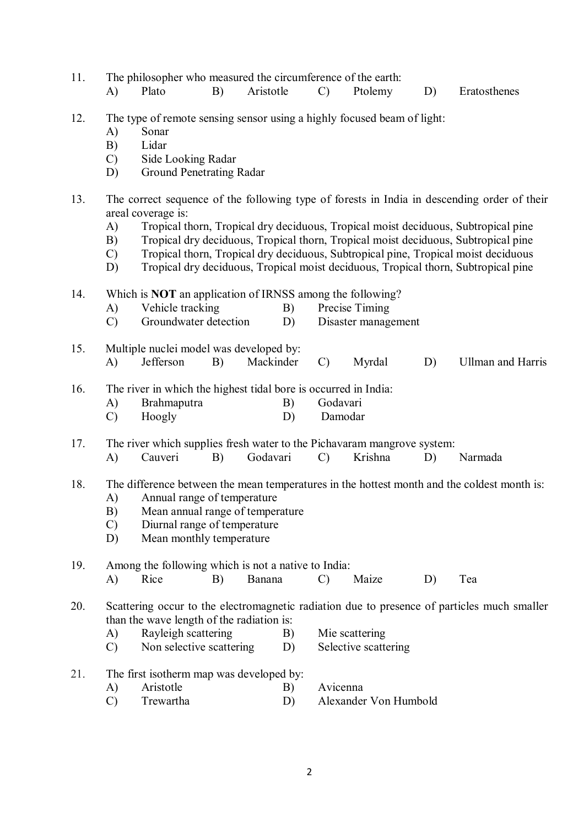11. The philosopher who measured the circumference of the earth:

- A) Plato B) Aristotle C) Ptolemy D) Eratosthenes
- 12. The type of remote sensing sensor using a highly focused beam of light:
	- A) Sonar
	- B) Lidar
	- C) Side Looking Radar
	- D) Ground Penetrating Radar
- 13. The correct sequence of the following type of forests in India in descending order of their areal coverage is:
	- A) Tropical thorn, Tropical dry deciduous, Tropical moist deciduous, Subtropical pine
	- B) Tropical dry deciduous, Tropical thorn, Tropical moist deciduous, Subtropical pine
	- C) Tropical thorn, Tropical dry deciduous, Subtropical pine, Tropical moist deciduous
	- D) Tropical dry deciduous, Tropical moist deciduous, Tropical thorn, Subtropical pine
- 14. Which is **NOT** an application of IRNSS among the following?
	- A) Vehicle tracking B) Precise Timing
	- C) Groundwater detection D) Disaster management
- 15. Multiple nuclei model was developed by: A) Jefferson B) Mackinder C) Myrdal D) Ullman and Harris
- 16. The river in which the highest tidal bore is occurred in India:

| A) | <b>Brahmaputra</b> | Godavari |
|----|--------------------|----------|
|    |                    |          |

C) Hoogly D) Damodar

17. The river which supplies fresh water to the Pichavaram mangrove system:<br>
A) Cauveri B) Godavari C) Krishna D)

A) Cauveri B) Godavari C) Krishna D) Narmada

- 18. The difference between the mean temperatures in the hottest month and the coldest month is: A) Annual range of temperature
	- B) Mean annual range of temperature
	- C) Diurnal range of temperature
	- D) Mean monthly temperature

19. Among the following which is not a native to India: A) Rice B) Banana C) Maize D) Tea

20. Scattering occur to the electromagnetic radiation due to presence of particles much smaller than the wave length of the radiation is:

- A) Rayleigh scattering B) Mie scattering
- C) Non selective scattering D) Selective scattering
- 21. The first isotherm map was developed by:
	- A) Aristotle B) Avicenna
	- C) Trewartha D) Alexander Von Humbold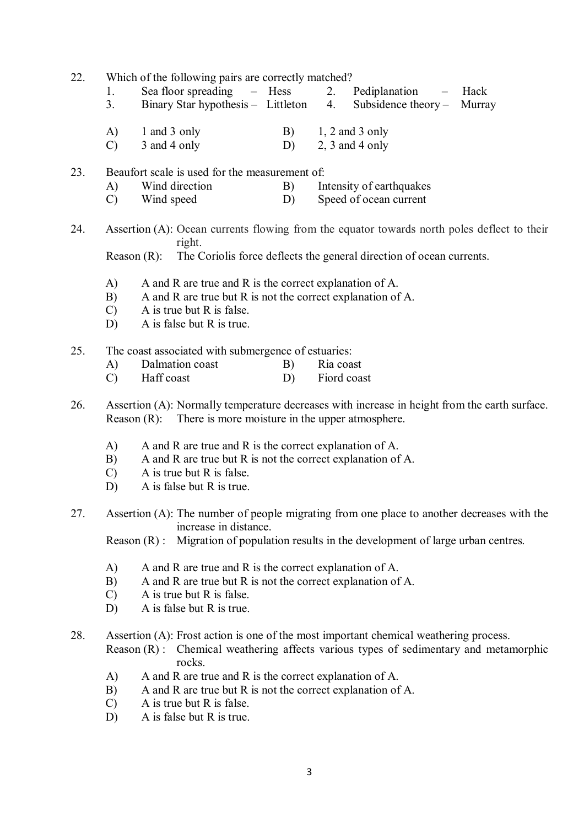- 22. Which of the following pairs are correctly matched?
	- 1. Sea floor spreading Hess 2. Pediplanation Hack<br>3 Binary Star hypothesis Littleton 4 Subsidence theory Murra
	- 3. Binary Star hypothesis Littleton 4. Subsidence theory Murray
	- A) 1 and 3 only B) 1, 2 and 3 only
	- $(C)$  3 and 4 only D) 2, 3 and 4 only
- 23. Beaufort scale is used for the measurement of:
	- A) Wind direction B) Intensity of earthquakes C) Wind speed D) Speed of ocean current
- 24. Assertion (A): Ocean currents flowing from the equator towards north poles deflect to their right.

Reason (R): The Coriolis force deflects the general direction of ocean currents.

- A) A and R are true and R is the correct explanation of A.
- B) A and R are true but R is not the correct explanation of A.
- C) A is true but R is false.
- D) A is false but R is true.
- 25. The coast associated with submergence of estuaries:
	- A) Dalmation coast B) Ria coast
	- C) Haff coast D) Fiord coast
- 26. Assertion (A): Normally temperature decreases with increase in height from the earth surface. Reason (R): There is more moisture in the upper atmosphere.
	- A) A and R are true and R is the correct explanation of A.
	- B) A and R are true but R is not the correct explanation of A.
	- C) A is true but R is false.
	- D) A is false but R is true.
- 27. Assertion (A): The number of people migrating from one place to another decreases with the increase in distance.

Reason (R) : Migration of population results in the development of large urban centres.

- A) A and R are true and R is the correct explanation of A.
- B) A and R are true but R is not the correct explanation of A.
- C) A is true but R is false.
- D) A is false but R is true.
- 28. Assertion (A): Frost action is one of the most important chemical weathering process.

Reason (R) : Chemical weathering affects various types of sedimentary and metamorphic rocks.

- A) A and R are true and R is the correct explanation of A.
- B) A and R are true but R is not the correct explanation of A.
- C) A is true but R is false.
- D) A is false but R is true.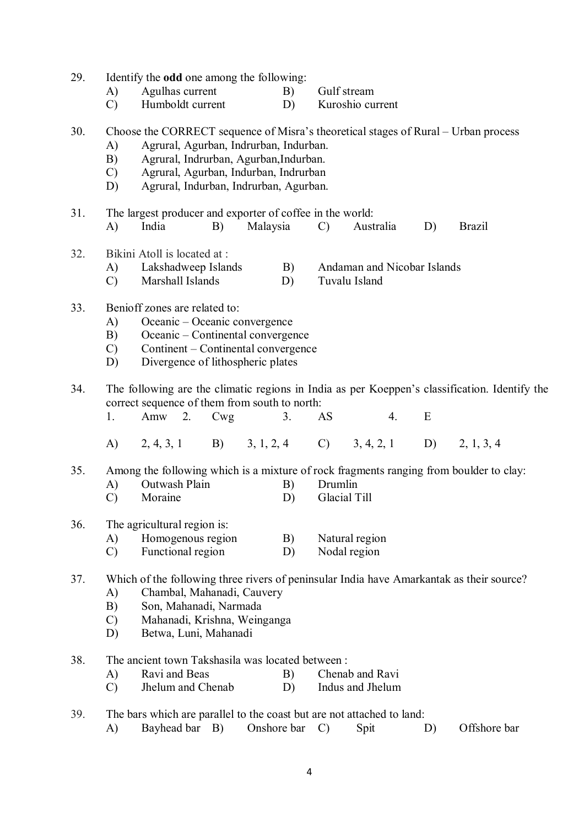| 29. | A)<br>$\mathcal{C}$                                                                                                                                                                                                                          | Identify the <b>odd</b> one among the following:<br>Agulhas current<br>Humboldt current                                                                                         |     |          | B)<br>D) |                         | Gulf stream<br>Kuroshio current              |    |    |                                                                                               |
|-----|----------------------------------------------------------------------------------------------------------------------------------------------------------------------------------------------------------------------------------------------|---------------------------------------------------------------------------------------------------------------------------------------------------------------------------------|-----|----------|----------|-------------------------|----------------------------------------------|----|----|-----------------------------------------------------------------------------------------------|
| 30. | A)<br>B)<br>$\mathcal{C}$<br>D)                                                                                                                                                                                                              | Agrural, Agurban, Indrurban, Indurban.<br>Agrural, Indrurban, Agurban, Indurban.<br>Agrural, Agurban, Indurban, Indrurban<br>Agrural, Indurban, Indrurban, Agurban.             |     |          |          |                         |                                              |    |    | Choose the CORRECT sequence of Misra's theoretical stages of Rural – Urban process            |
| 31. | A)                                                                                                                                                                                                                                           | The largest producer and exporter of coffee in the world:<br>India                                                                                                              | B)  | Malaysia |          | $\mathcal{C}$           | Australia                                    |    | D) | <b>Brazil</b>                                                                                 |
| 32. | A)<br>$\mathcal{C}$                                                                                                                                                                                                                          | Bikini Atoll is located at :<br>Lakshadweep Islands<br>Marshall Islands                                                                                                         |     |          | B)<br>D) |                         | Andaman and Nicobar Islands<br>Tuvalu Island |    |    |                                                                                               |
| 33. | A)<br>B)<br>$\mathcal{C}$<br>D)                                                                                                                                                                                                              | Benioff zones are related to:<br>Oceanic – Oceanic convergence<br>Oceanic – Continental convergence<br>Continent – Continental convergence<br>Divergence of lithospheric plates |     |          |          |                         |                                              |    |    |                                                                                               |
| 34. | 1.                                                                                                                                                                                                                                           | correct sequence of them from south to north:<br>$Amw$ 2.                                                                                                                       | Cwg |          | 3.       | AS                      |                                              | 4. | E  | The following are the climatic regions in India as per Koeppen's classification. Identify the |
|     |                                                                                                                                                                                                                                              | A) $2, 4, 3, 1$ B) $3, 1, 2, 4$ C) $3, 4, 2, 1$                                                                                                                                 |     |          |          |                         |                                              |    |    | D) $2, 1, 3, 4$                                                                               |
| 35. | A)<br>$\mathcal{C}$                                                                                                                                                                                                                          | Outwash Plain<br>Moraine                                                                                                                                                        |     |          | B)<br>D) | Drumlin<br>Glacial Till |                                              |    |    | Among the following which is a mixture of rock fragments ranging from boulder to clay:        |
| 36. | A)<br>$\mathcal{C}$                                                                                                                                                                                                                          | The agricultural region is:<br>Homogenous region<br>Functional region                                                                                                           |     |          | B)<br>D) |                         | Natural region<br>Nodal region               |    |    |                                                                                               |
| 37. | Which of the following three rivers of peninsular India have Amarkantak as their source?<br>Chambal, Mahanadi, Cauvery<br>A)<br>Son, Mahanadi, Narmada<br>B)<br>Mahanadi, Krishna, Weinganga<br>$\mathcal{C}$<br>Betwa, Luni, Mahanadi<br>D) |                                                                                                                                                                                 |     |          |          |                         |                                              |    |    |                                                                                               |
| 38. | A)<br>$\mathcal{C}$                                                                                                                                                                                                                          | The ancient town Takshasila was located between:<br>Ravi and Beas<br>Jhelum and Chenab                                                                                          |     |          | B)<br>D) |                         | Chenab and Ravi<br>Indus and Jhelum          |    |    |                                                                                               |
| 39. | The bars which are parallel to the coast but are not attached to land:                                                                                                                                                                       |                                                                                                                                                                                 |     |          |          |                         |                                              |    |    |                                                                                               |

A) Bayhead bar B) Onshore bar C) Spit D) Offshore bar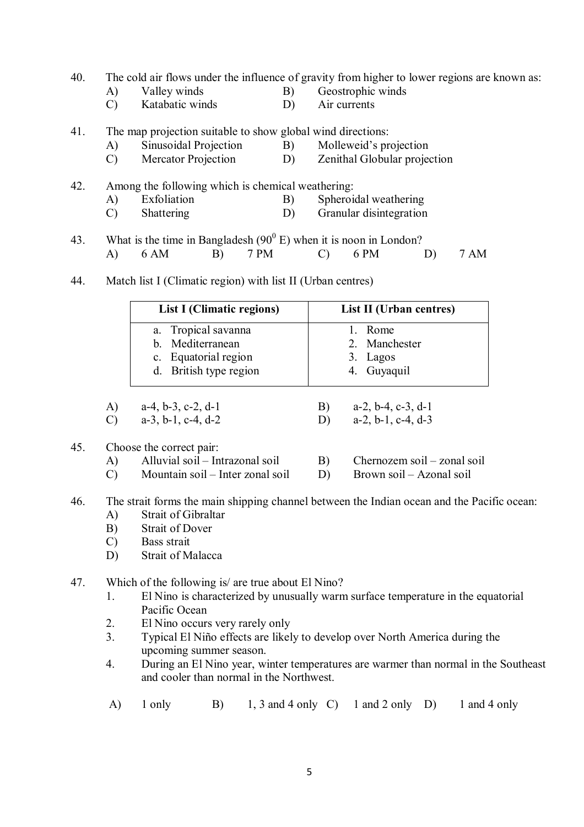- 40. The cold air flows under the influence of gravity from higher to lower regions are known as:
	-
- 
- A) Valley winds B) Geostrophic winds<br>
C) Katabatic winds D) Air currents Katabatic winds
- 41. The map projection suitable to show global wind directions:
	- A) Sinusoidal Projection B) Molleweid's projection
	- C) Mercator Projection D) Zenithal Globular projection
- 42. Among the following which is chemical weathering: A) Exfoliation B) Spheroidal weathering C) Shattering D) Granular disintegration
- 43. What is the time in Bangladesh  $(90^0 \text{ E})$  when it is noon in London? A) 6 AM B) 7 PM C) 6 PM D) 7 AM
- 44. Match list I (Climatic region) with list II (Urban centres)

|    | List I (Climatic regions)                                       | List II (Urban centres)                   |
|----|-----------------------------------------------------------------|-------------------------------------------|
|    | a. Tropical savanna<br>b. Mediterranean<br>c. Equatorial region | Rome<br>2. Manchester<br>3. Lagos         |
| A) | d. British type region<br>$a-4$ h-3 c-2 d-1                     | 4. Guyaquil<br>$a-2$ h $-4$ c $-3$ d $-1$ |

| A) $a-4, 0-3, 0-2, 0-1$ | $D)$ $a-Z$ , $0-A$ , $C-J$ , $u-I$ |
|-------------------------|------------------------------------|
| C) $a-3, b-1, c-4, d-2$ | D) $a-2, b-1, c-4, d-3$            |

- 45. Choose the correct pair:
	- A) Alluvial soil Intrazonal soil B) Chernozem soil zonal soil
	- C) Mountain soil Inter zonal soil D) Brown soil Azonal soil
- -
- 46. The strait forms the main shipping channel between the Indian ocean and the Pacific ocean: A) Strait of Gibraltar
	- B) Strait of Dover
	- C) Bass strait
	- D) Strait of Malacca
- 47. Which of the following is/ are true about El Nino?
	- 1. El Nino is characterized by unusually warm surface temperature in the equatorial Pacific Ocean
	- 2. El Nino occurs very rarely only
	- 3. Typical El Niño effects are likely to develop over North America during the upcoming summer season.
	- 4. During an El Nino year, winter temperatures are warmer than normal in the Southeast and cooler than normal in the Northwest.
	- A)  $1 \text{ only}$  B)  $1, 3 \text{ and } 4 \text{ only}$  C)  $1 \text{ and } 2 \text{ only}$  D)  $1 \text{ and } 4 \text{ only}$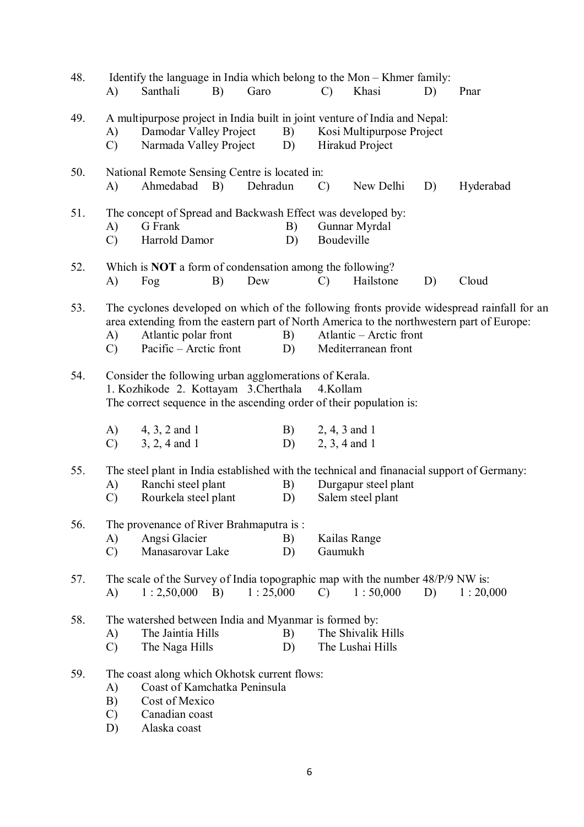| 48. | A)                              | Identify the language in India which belong to the Mon – Khmer family:<br>Santhali                                                                                                 | B) | Garo     |          | $\mathcal{C}$                                                                                                              | Khasi                                          | D) | Pnar                                                                                                                                                                                    |  |  |
|-----|---------------------------------|------------------------------------------------------------------------------------------------------------------------------------------------------------------------------------|----|----------|----------|----------------------------------------------------------------------------------------------------------------------------|------------------------------------------------|----|-----------------------------------------------------------------------------------------------------------------------------------------------------------------------------------------|--|--|
| 49. | A)<br>$\mathcal{C}$             | Damodar Valley Project<br>Narmada Valley Project                                                                                                                                   |    |          | B)<br>D) | A multipurpose project in India built in joint venture of India and Nepal:<br>Kosi Multipurpose Project<br>Hirakud Project |                                                |    |                                                                                                                                                                                         |  |  |
| 50. | A)                              | National Remote Sensing Centre is located in:<br>Ahmedabad B)                                                                                                                      |    | Dehradun |          | $\mathcal{C}$                                                                                                              | New Delhi                                      | D) | Hyderabad                                                                                                                                                                               |  |  |
| 51. | A)<br>$\mathcal{C}$             | G Frank<br>Harrold Damor                                                                                                                                                           |    |          | B)<br>D) | The concept of Spread and Backwash Effect was developed by:<br>Gunnar Myrdal<br>Boudeville                                 |                                                |    |                                                                                                                                                                                         |  |  |
| 52. | A)                              | Which is <b>NOT</b> a form of condensation among the following?<br>Fog                                                                                                             | B) | Dew      |          | $\mathcal{C}$                                                                                                              | Hailstone                                      | D) | Cloud                                                                                                                                                                                   |  |  |
| 53. | A)<br>$\mathcal{C}$             | Atlantic polar front<br>Pacific – Arctic front                                                                                                                                     |    |          | B)<br>D) |                                                                                                                            | Atlantic – Arctic front<br>Mediterranean front |    | The cyclones developed on which of the following fronts provide widespread rainfall for an<br>area extending from the eastern part of North America to the northwestern part of Europe: |  |  |
| 54. |                                 | Consider the following urban agglomerations of Kerala.<br>1. Kozhikode 2. Kottayam 3. Cherthala<br>4.Kollam<br>The correct sequence in the ascending order of their population is: |    |          |          |                                                                                                                            |                                                |    |                                                                                                                                                                                         |  |  |
|     | A)<br>$\mathcal{C}$             | $4, 3, 2$ and 1<br>$3, 2, 4$ and 1                                                                                                                                                 |    |          | B)<br>D) | $2, 3, 4$ and 1                                                                                                            | 2, 4, 3 and 1                                  |    |                                                                                                                                                                                         |  |  |
| 55. | A)<br>$\mathcal{C}$             | Ranchi steel plant<br>Rourkela steel plant                                                                                                                                         |    |          | B)<br>D) |                                                                                                                            | Durgapur steel plant<br>Salem steel plant      |    | The steel plant in India established with the technical and finanacial support of Germany:                                                                                              |  |  |
| 56. | A)<br>$\mathcal{C}$             | The provenance of River Brahmaputra is:<br>Angsi Glacier<br>Manasarovar Lake                                                                                                       |    |          | B)<br>D) | Gaumukh                                                                                                                    | Kailas Range                                   |    |                                                                                                                                                                                         |  |  |
| 57. | A)                              | The scale of the Survey of India topographic map with the number 48/P/9 NW is:<br>$1:2,50,000$ B)                                                                                  |    | 1:25,000 |          | $\mathcal{C}$                                                                                                              | 1:50,000                                       | D) | 1:20,000                                                                                                                                                                                |  |  |
| 58. | A)<br>$\mathcal{C}$             | The watershed between India and Myanmar is formed by:<br>The Jaintia Hills<br>The Naga Hills                                                                                       |    |          | B)<br>D) |                                                                                                                            | The Shivalik Hills<br>The Lushai Hills         |    |                                                                                                                                                                                         |  |  |
| 59. | A)<br>B)<br>$\mathcal{C}$<br>D) | The coast along which Okhotsk current flows:<br>Coast of Kamchatka Peninsula<br>Cost of Mexico<br>Canadian coast<br>Alaska coast                                                   |    |          |          |                                                                                                                            |                                                |    |                                                                                                                                                                                         |  |  |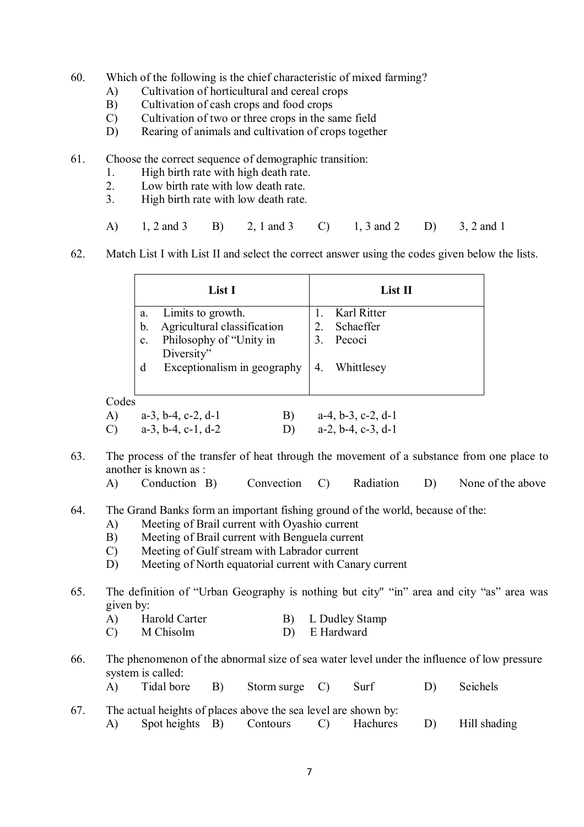- 60. Which of the following is the chief characteristic of mixed farming?
	- A) Cultivation of horticultural and cereal crops
	- B) Cultivation of cash crops and food crops
	- C) Cultivation of two or three crops in the same field
	- D) Rearing of animals and cultivation of crops together
- 61. Choose the correct sequence of demographic transition:
	- 1. High birth rate with high death rate.
	- 2. Low birth rate with low death rate.
	- 3. High birth rate with low death rate.
	- A) 1, 2 and 3 B) 2, 1 and 3 C) 1, 3 and 2 D) 3, 2 and 1
- 62. Match List I with List II and select the correct answer using the codes given below the lists.

|       |              | List I                        |    |                  | $List$ II                     |
|-------|--------------|-------------------------------|----|------------------|-------------------------------|
|       | a.           | Limits to growth.             |    |                  | Karl Ritter                   |
|       | b.           | Agricultural classification   |    | 2.               | Schaeffer                     |
|       | $\mathbf{C}$ | Philosophy of "Unity in       |    | 3.               | Pecoci                        |
|       |              | Diversity"                    |    |                  |                               |
|       | d            | Exceptionalism in geography   |    | $\overline{4}$ . | Whittlesey                    |
|       |              |                               |    |                  |                               |
| Codes |              |                               |    |                  |                               |
| A)    |              | $a-3$ , $b-4$ , $c-2$ , $d-1$ | B) |                  | $a-4, b-3, c-2, d-1$          |
|       |              | $a-3$ , $b-4$ , $c-1$ , $d-2$ | D) |                  | $a-2$ , $b-4$ , $c-3$ , $d-1$ |

- 63. The process of the transfer of heat through the movement of a substance from one place to another is known as :
	- A) Conduction B) Convection C) Radiation D) None of the above
- 64. The Grand Banks form an important fishing ground of the world, because of the:
	- A) Meeting of Brail current with Oyashio current
	- B) Meeting of Brail current with Benguela current
	- C) Meeting of Gulf stream with Labrador current
	- D) Meeting of North equatorial current with Canary current
- 65. The definition of "Urban Geography is nothing but city" "in" area and city "as" area was given by:
	- A) Harold Carter B) L Dudley Stamp
	- C) M Chisolm D) E Hardward
- 66. The phenomenon of the abnormal size of sea water level under the influence of low pressure system is called:
	- A) Tidal bore B) Storm surge C) Surf D) Seichels
- 67. The actual heights of places above the sea level are shown by: A) Spot heights B) Contours C) Hachures D) Hill shading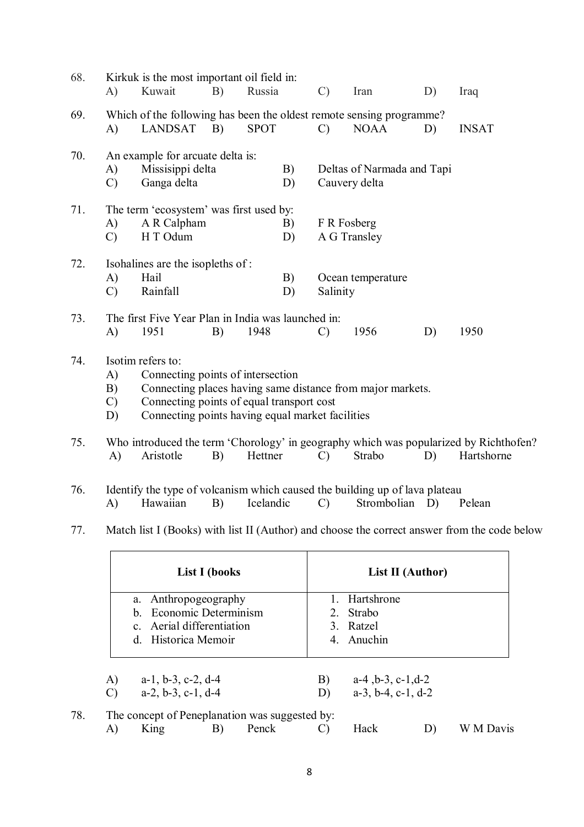| 68. | A)                   | Kirkuk is the most important oil field in:<br>Kuwait                                                                                                    | B)                   | Russia      |          | $\mathcal{C}$ | Iran                                                       | D) | Iraq         |  |
|-----|----------------------|---------------------------------------------------------------------------------------------------------------------------------------------------------|----------------------|-------------|----------|---------------|------------------------------------------------------------|----|--------------|--|
| 69. | A)                   | Which of the following has been the oldest remote sensing programme?<br><b>LANDSAT</b>                                                                  | B)                   | <b>SPOT</b> |          | $\mathcal{C}$ | <b>NOAA</b>                                                | D) | <b>INSAT</b> |  |
| 70. | A)<br>$\mathcal{C}$  | An example for arcuate delta is:<br>Missisippi delta<br>Ganga delta                                                                                     |                      |             | B)<br>D) |               | Deltas of Narmada and Tapi<br>Cauvery delta                |    |              |  |
| 71. | A)<br>$\mathcal{C}$  | The term 'ecosystem' was first used by:<br>A R Calpham<br>H T Odum                                                                                      |                      |             | B)<br>D) | F R Fosberg   | A G Transley                                               |    |              |  |
| 72. | A)<br>$\mathcal{C}$  | Isohalines are the isopleths of:<br>Hail<br>Rainfall                                                                                                    |                      |             | B)<br>D) | Salinity      | Ocean temperature                                          |    |              |  |
| 73. | A)                   | The first Five Year Plan in India was launched in:<br>1951                                                                                              | B)                   | 1948        |          | $\mathcal{C}$ | 1956                                                       | D) | 1950         |  |
| 74. | A)<br>B)<br>C)<br>D) | Isotim refers to:<br>Connecting points of intersection<br>Connecting points of equal transport cost<br>Connecting points having equal market facilities |                      |             |          |               | Connecting places having same distance from major markets. |    |              |  |
| 75. | A)                   | Who introduced the term 'Chorology' in geography which was popularized by Richthofen?<br>Aristotle                                                      | B)                   | Hettner     |          | $\mathcal{C}$ | Strabo                                                     | D) | Hartshorne   |  |
| 76. | A)                   | Identify the type of volcanism which caused the building up of lava plateau<br>Hawaiian                                                                 | B)                   | Icelandic   |          | $\mathcal{C}$ | Strombolian                                                | D) | Pelean       |  |
| 77. |                      | Match list I (Books) with list II (Author) and choose the correct answer from the code below                                                            |                      |             |          |               |                                                            |    |              |  |
|     |                      |                                                                                                                                                         | <b>List I</b> (books |             |          |               | List II (Author)                                           |    |              |  |
|     |                      | Anthropogeography<br>a.                                                                                                                                 |                      |             |          | 1.            | Hartshrone                                                 |    |              |  |

|     |                     | d. Historica Memoir                                   |    |                                                |          | 4. Anuchin                                                     |           |
|-----|---------------------|-------------------------------------------------------|----|------------------------------------------------|----------|----------------------------------------------------------------|-----------|
|     | A)<br>$\mathcal{C}$ | $a-1$ , $b-3$ , $c-2$ , $d-4$<br>$a-2, b-3, c-1, d-4$ |    |                                                | B)<br>D) | $a-4$ , $b-3$ , $c-1$ , $d-2$<br>$a-3$ , $b-4$ , $c-1$ , $d-2$ |           |
| 78. |                     |                                                       |    | The concept of Peneplanation was suggested by: |          |                                                                |           |
|     | A)                  | King                                                  | B) | Penck                                          |          | Hack                                                           | W M Davis |

2. Strabo 3. Ratzel

b. Economic Determinism c. Aerial differentiation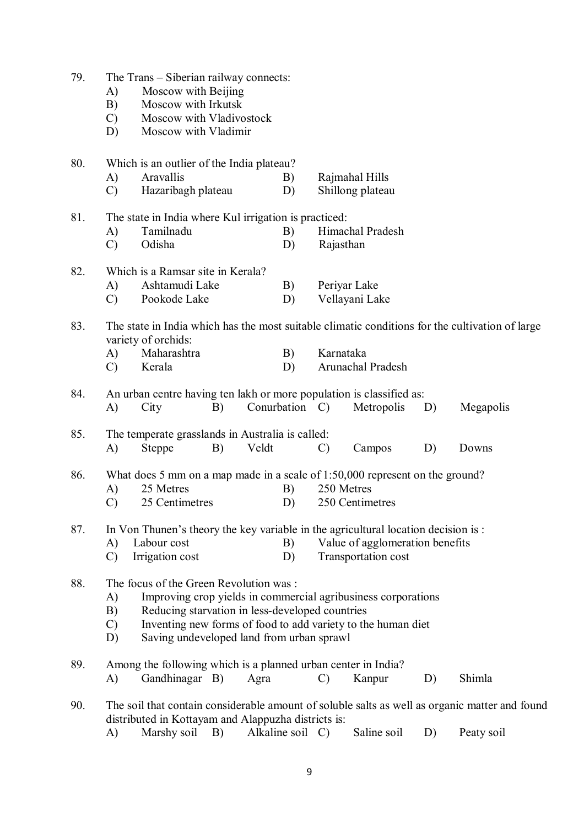| 79. |               | The Trans – Siberian railway connects:                        |    |       |                |               |                                                                                   |    |                                                                                                 |  |
|-----|---------------|---------------------------------------------------------------|----|-------|----------------|---------------|-----------------------------------------------------------------------------------|----|-------------------------------------------------------------------------------------------------|--|
|     | A)            | Moscow with Beijing                                           |    |       |                |               |                                                                                   |    |                                                                                                 |  |
|     | B)            | Moscow with Irkutsk                                           |    |       |                |               |                                                                                   |    |                                                                                                 |  |
|     | $\mathcal{C}$ | Moscow with Vladivostock                                      |    |       |                |               |                                                                                   |    |                                                                                                 |  |
|     | D)            | Moscow with Vladimir                                          |    |       |                |               |                                                                                   |    |                                                                                                 |  |
|     |               |                                                               |    |       |                |               |                                                                                   |    |                                                                                                 |  |
| 80. |               | Which is an outlier of the India plateau?                     |    |       |                |               |                                                                                   |    |                                                                                                 |  |
|     | A)            | Aravallis                                                     |    |       | B)             |               | Rajmahal Hills                                                                    |    |                                                                                                 |  |
|     | $\mathcal{C}$ | Hazaribagh plateau                                            |    |       | D)             |               | Shillong plateau                                                                  |    |                                                                                                 |  |
|     |               |                                                               |    |       |                |               |                                                                                   |    |                                                                                                 |  |
| 81. |               | The state in India where Kul irrigation is practiced:         |    |       |                |               |                                                                                   |    |                                                                                                 |  |
|     | A)            | Tamilnadu                                                     |    |       | B)             |               | Himachal Pradesh                                                                  |    |                                                                                                 |  |
|     | $\mathcal{C}$ | Odisha                                                        |    |       | D)             |               | Rajasthan                                                                         |    |                                                                                                 |  |
|     |               |                                                               |    |       |                |               |                                                                                   |    |                                                                                                 |  |
| 82. |               | Which is a Ramsar site in Kerala?                             |    |       |                |               |                                                                                   |    |                                                                                                 |  |
|     | A)            | Ashtamudi Lake                                                |    |       | B)             |               | Periyar Lake                                                                      |    |                                                                                                 |  |
|     | $\mathcal{C}$ | Pookode Lake                                                  |    |       | D)             |               | Vellayani Lake                                                                    |    |                                                                                                 |  |
| 83. |               |                                                               |    |       |                |               |                                                                                   |    | The state in India which has the most suitable climatic conditions for the cultivation of large |  |
|     |               | variety of orchids:                                           |    |       |                |               |                                                                                   |    |                                                                                                 |  |
|     | A)            | Maharashtra                                                   |    |       | B)             | Karnataka     |                                                                                   |    |                                                                                                 |  |
|     | $\mathcal{C}$ | Kerala                                                        |    |       | D)             |               | Arunachal Pradesh                                                                 |    |                                                                                                 |  |
|     |               |                                                               |    |       |                |               |                                                                                   |    |                                                                                                 |  |
| 84. |               |                                                               |    |       |                |               | An urban centre having ten lakh or more population is classified as:              |    |                                                                                                 |  |
|     | A)            | City                                                          | B) |       | Conurbation C) |               | Metropolis                                                                        | D) | Megapolis                                                                                       |  |
|     |               |                                                               |    |       |                |               |                                                                                   |    |                                                                                                 |  |
| 85. |               | The temperate grasslands in Australia is called:              |    |       |                |               |                                                                                   |    |                                                                                                 |  |
|     | A)            | <b>Steppe</b>                                                 | B) | Veldt |                | $\mathcal{C}$ | Campos                                                                            | D) | Downs                                                                                           |  |
|     |               |                                                               |    |       |                |               |                                                                                   |    |                                                                                                 |  |
| 86. |               |                                                               |    |       |                |               | What does 5 mm on a map made in a scale of $1:50,000$ represent on the ground?    |    |                                                                                                 |  |
|     | A)            | 25 Metres                                                     |    |       | B)             |               | 250 Metres                                                                        |    |                                                                                                 |  |
|     | $\mathcal{C}$ | 25 Centimetres                                                |    |       | D)             |               | 250 Centimetres                                                                   |    |                                                                                                 |  |
| 87. |               |                                                               |    |       |                |               | In Von Thunen's theory the key variable in the agricultural location decision is: |    |                                                                                                 |  |
|     | A)            | Labour cost                                                   |    |       | B)             |               | Value of agglomeration benefits                                                   |    |                                                                                                 |  |
|     | $\mathcal{C}$ | Irrigation cost                                               |    |       | D)             |               | Transportation cost                                                               |    |                                                                                                 |  |
|     |               |                                                               |    |       |                |               |                                                                                   |    |                                                                                                 |  |
| 88. |               | The focus of the Green Revolution was:                        |    |       |                |               |                                                                                   |    |                                                                                                 |  |
|     | A)            |                                                               |    |       |                |               | Improving crop yields in commercial agribusiness corporations                     |    |                                                                                                 |  |
|     | B)            | Reducing starvation in less-developed countries               |    |       |                |               |                                                                                   |    |                                                                                                 |  |
|     | $\mathcal{C}$ |                                                               |    |       |                |               | Inventing new forms of food to add variety to the human diet                      |    |                                                                                                 |  |
|     | D)            | Saving undeveloped land from urban sprawl                     |    |       |                |               |                                                                                   |    |                                                                                                 |  |
|     |               |                                                               |    |       |                |               |                                                                                   |    |                                                                                                 |  |
| 89. |               | Among the following which is a planned urban center in India? |    |       |                |               |                                                                                   |    |                                                                                                 |  |
|     | A)            | Gandhinagar B)                                                |    | Agra  |                | $\mathcal{C}$ | Kanpur                                                                            | D) | Shimla                                                                                          |  |
|     |               |                                                               |    |       |                |               |                                                                                   |    |                                                                                                 |  |
| 90. |               |                                                               |    |       |                |               |                                                                                   |    | The soil that contain considerable amount of soluble salts as well as organic matter and found  |  |
|     | $\Delta$ )    | distributed in Kottayam and Alappuzha districts is:           |    |       |                |               | Marshy soil $B$ ) Alkaline soil $C$ ) Saline soil $D$ ) Peaty soil                |    |                                                                                                 |  |

A) Marshy soil B) Alkaline soil C) Saline soil D) Peaty soil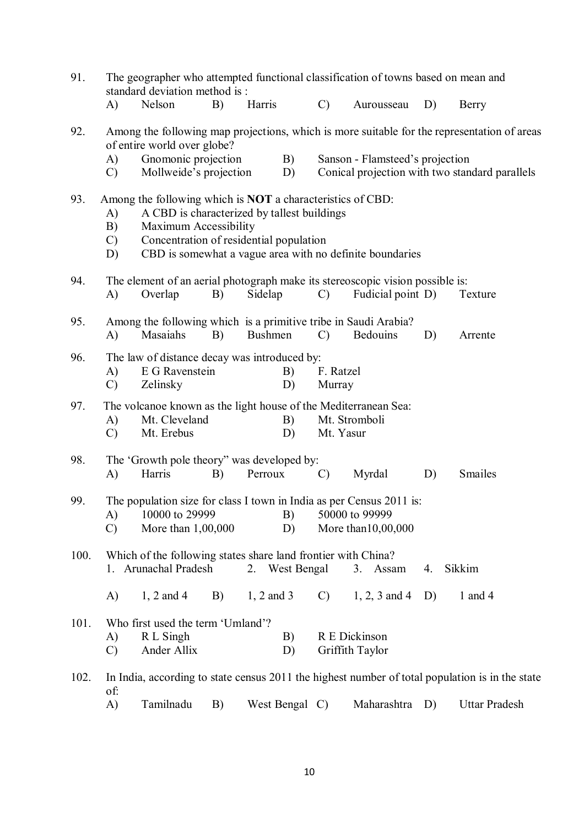| 91.<br>The geographer who attempted functional classification of towns based on mean and<br>standard deviation method is: |                                                                                                                                      |                                                                                                                                                                                      |    |                |                |               |                                                                                                               |    |                                                                                                 |
|---------------------------------------------------------------------------------------------------------------------------|--------------------------------------------------------------------------------------------------------------------------------------|--------------------------------------------------------------------------------------------------------------------------------------------------------------------------------------|----|----------------|----------------|---------------|---------------------------------------------------------------------------------------------------------------|----|-------------------------------------------------------------------------------------------------|
|                                                                                                                           | A)                                                                                                                                   | Nelson                                                                                                                                                                               | B) | Harris         |                | $\mathcal{C}$ | Aurousseau                                                                                                    | D) | Berry                                                                                           |
| 92.                                                                                                                       | A)                                                                                                                                   | of entire world over globe?<br>Gnomonic projection                                                                                                                                   |    |                | B)             |               | Sanson - Flamsteed's projection                                                                               |    | Among the following map projections, which is more suitable for the representation of areas     |
|                                                                                                                           | $\mathcal{C}$                                                                                                                        | Mollweide's projection                                                                                                                                                               |    |                | D)             |               |                                                                                                               |    | Conical projection with two standard parallels                                                  |
| 93.                                                                                                                       | A)<br>B)<br>$\mathcal{C}$<br>D)                                                                                                      | Among the following which is <b>NOT</b> a characteristics of CBD:<br>A CBD is characterized by tallest buildings<br>Maximum Accessibility<br>Concentration of residential population |    |                |                |               | CBD is somewhat a vague area with no definite boundaries                                                      |    |                                                                                                 |
| 94.                                                                                                                       | A)                                                                                                                                   | Overlap                                                                                                                                                                              | B) | Sidelap        |                | $\mathcal{C}$ | The element of an aerial photograph make its stereoscopic vision possible is:<br>Fudicial point D)            |    | Texture                                                                                         |
| 95.                                                                                                                       | A)                                                                                                                                   | Among the following which is a primitive tribe in Saudi Arabia?<br>Masaiahs                                                                                                          | B) | <b>Bushmen</b> |                | $\mathcal{C}$ | <b>Bedouins</b>                                                                                               | D) | Arrente                                                                                         |
| 96.                                                                                                                       | The law of distance decay was introduced by:<br>E G Ravenstein<br>B)<br>F. Ratzel<br>A)<br>$\mathcal{C}$<br>Zelinsky<br>D)<br>Murray |                                                                                                                                                                                      |    |                |                |               |                                                                                                               |    |                                                                                                 |
| 97.                                                                                                                       | A)<br>$\mathcal{C}$                                                                                                                  | The volcanoe known as the light house of the Mediterranean Sea:<br>Mt. Cleveland<br>Mt. Erebus                                                                                       |    |                | B)<br>D)       | Mt. Yasur     | Mt. Stromboli                                                                                                 |    |                                                                                                 |
| 98.                                                                                                                       | A)                                                                                                                                   | The 'Growth pole theory'' was developed by:<br>Harris                                                                                                                                | B) | Perroux        |                | $\mathcal{C}$ | Myrdal                                                                                                        | D) | Smailes                                                                                         |
| 99.                                                                                                                       | A)<br>$\mathcal{C}$                                                                                                                  | 10000 to 29999<br>More than 1,00,000                                                                                                                                                 |    |                | B)<br>D)       |               | The population size for class I town in India as per Census 2011 is:<br>50000 to 99999<br>More than 10,00,000 |    |                                                                                                 |
| 100.                                                                                                                      |                                                                                                                                      | Which of the following states share land frontier with China?<br>1. Arunachal Pradesh                                                                                                |    |                | 2. West Bengal |               | 3. Assam                                                                                                      | 4. | Sikkim                                                                                          |
|                                                                                                                           | A)                                                                                                                                   | $1, 2$ and 4                                                                                                                                                                         | B) | $1, 2$ and 3   |                | $\mathcal{C}$ | $1, 2, 3$ and 4                                                                                               | D) | 1 and 4                                                                                         |
| 101.                                                                                                                      | A)<br>$\mathcal{C}$                                                                                                                  | Who first used the term 'Umland'?<br>R L Singh<br>Ander Allix                                                                                                                        |    |                | B)<br>D)       |               | R E Dickinson<br>Griffith Taylor                                                                              |    |                                                                                                 |
| 102.                                                                                                                      | of:                                                                                                                                  |                                                                                                                                                                                      |    |                |                |               |                                                                                                               |    | In India, according to state census 2011 the highest number of total population is in the state |
|                                                                                                                           | A)                                                                                                                                   | Tamilnadu                                                                                                                                                                            | B) |                | West Bengal C) |               | Maharashtra                                                                                                   | D) | <b>Uttar Pradesh</b>                                                                            |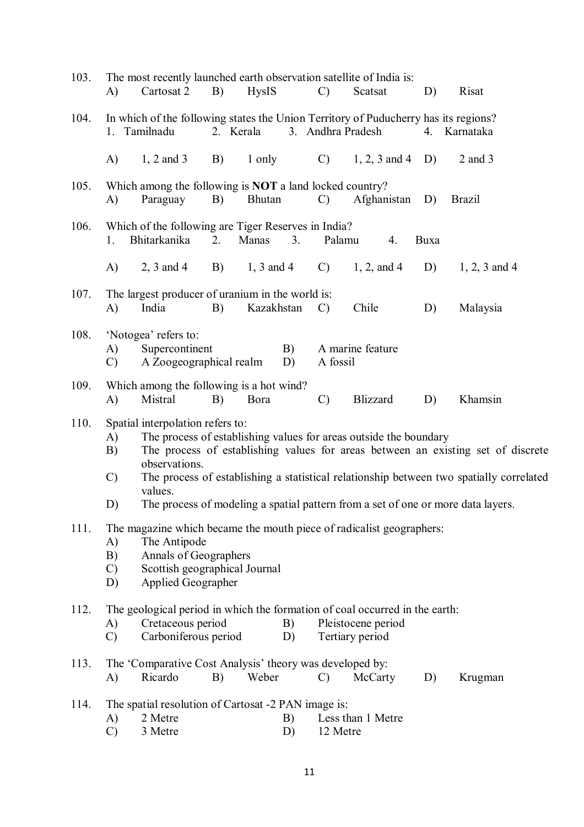| 103. | A)                              | The most recently launched earth observation satellite of India is:<br>Cartosat 2                                                                                    | B) | <b>HysIS</b>  |          | $\mathcal{C}$   | Scatsat                               |    | D)   | Risat                                                                                                                                                                                                                                                           |
|------|---------------------------------|----------------------------------------------------------------------------------------------------------------------------------------------------------------------|----|---------------|----------|-----------------|---------------------------------------|----|------|-----------------------------------------------------------------------------------------------------------------------------------------------------------------------------------------------------------------------------------------------------------------|
| 104. |                                 | In which of the following states the Union Territory of Puducherry has its regions?<br>1. Tamilnadu                                                                  |    | 2. Kerala     |          |                 | 3. Andhra Pradesh                     |    |      | 4. Karnataka                                                                                                                                                                                                                                                    |
|      | A)                              | $1, 2$ and 3                                                                                                                                                         | B) | 1 only        |          | $\mathcal{C}$ ) | $1, 2, 3$ and $4$ D)                  |    |      | $2$ and $3$                                                                                                                                                                                                                                                     |
| 105. | A)                              | Which among the following is <b>NOT</b> a land locked country?<br>Paraguay                                                                                           | B) | <b>Bhutan</b> |          | $\mathcal{C}$   | Afghanistan D)                        |    |      | <b>Brazil</b>                                                                                                                                                                                                                                                   |
| 106. | 1.                              | Which of the following are Tiger Reserves in India?<br>Bhitarkanika                                                                                                  | 2. | Manas         | 3.       | Palamu          |                                       | 4. | Buxa |                                                                                                                                                                                                                                                                 |
|      | A)                              | 2, 3 and 4 B) 1, 3 and 4                                                                                                                                             |    |               |          | $\mathcal{C}$ ) | 1, 2, and 4                           |    | D)   | $1, 2, 3$ and 4                                                                                                                                                                                                                                                 |
| 107. | A)                              | The largest producer of uranium in the world is:<br>India                                                                                                            | B) | Kazakhstan    |          | $\mathcal{C}$   | Chile                                 |    | D)   | Malaysia                                                                                                                                                                                                                                                        |
| 108. | A)<br>$\mathcal{C}$             | 'Notogea' refers to:<br>Supercontinent<br>A Zoogeographical realm                                                                                                    |    |               | B)<br>D) | A fossil        | A marine feature                      |    |      |                                                                                                                                                                                                                                                                 |
| 109. | A)                              | Which among the following is a hot wind?<br>Mistral                                                                                                                  | B) | Bora          |          | $\mathcal{C}$   | <b>Blizzard</b>                       |    | D)   | Khamsin                                                                                                                                                                                                                                                         |
| 110. | A)<br>B)<br>$\mathcal{C}$<br>D) | Spatial interpolation refers to:<br>The process of establishing values for areas outside the boundary<br>observations.<br>values.                                    |    |               |          |                 |                                       |    |      | The process of establishing values for areas between an existing set of discrete<br>The process of establishing a statistical relationship between two spatially correlated<br>The process of modeling a spatial pattern from a set of one or more data layers. |
| 111. | A)<br>B)<br>$\mathcal{C}$<br>D) | The magazine which became the mouth piece of radicalist geographers:<br>The Antipode<br>Annals of Geographers<br>Scottish geographical Journal<br>Applied Geographer |    |               |          |                 |                                       |    |      |                                                                                                                                                                                                                                                                 |
| 112. | A)<br>$\mathcal{C}$             | The geological period in which the formation of coal occurred in the earth:<br>Cretaceous period<br>Carboniferous period                                             |    |               | B)<br>D) |                 | Pleistocene period<br>Tertiary period |    |      |                                                                                                                                                                                                                                                                 |
| 113. | A)                              | The 'Comparative Cost Analysis' theory was developed by:<br>Ricardo                                                                                                  | B) | Weber         |          | $\mathcal{C}$   | McCarty                               |    | D)   | Krugman                                                                                                                                                                                                                                                         |
| 114. | A)<br>$\mathcal{C}$             | The spatial resolution of Cartosat -2 PAN image is:<br>2 Metre<br>3 Metre                                                                                            |    |               | B)<br>D) | 12 Metre        | Less than 1 Metre                     |    |      |                                                                                                                                                                                                                                                                 |